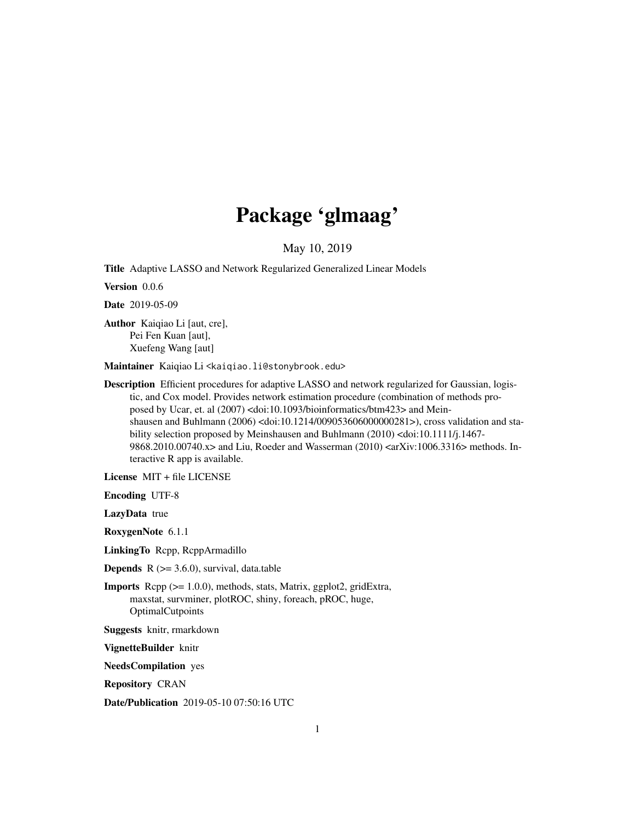# Package 'glmaag'

May 10, 2019

Title Adaptive LASSO and Network Regularized Generalized Linear Models

Version 0.0.6

Date 2019-05-09

Author Kaiqiao Li [aut, cre], Pei Fen Kuan [aut], Xuefeng Wang [aut]

Maintainer Kaiqiao Li <kaiqiao.li@stonybrook.edu>

Description Efficient procedures for adaptive LASSO and network regularized for Gaussian, logistic, and Cox model. Provides network estimation procedure (combination of methods proposed by Ucar, et. al (2007) <doi:10.1093/bioinformatics/btm423> and Meinshausen and Buhlmann (2006) <doi:10.1214/009053606000000281>), cross validation and stability selection proposed by Meinshausen and Buhlmann (2010) <doi:10.1111/j.1467- 9868.2010.00740.x> and Liu, Roeder and Wasserman (2010) <arXiv:1006.3316> methods. Interactive R app is available.

License MIT + file LICENSE

Encoding UTF-8

LazyData true

RoxygenNote 6.1.1

LinkingTo Rcpp, RcppArmadillo

**Depends**  $R$  ( $>= 3.6.0$ ), survival, data.table

Imports Rcpp (>= 1.0.0), methods, stats, Matrix, ggplot2, gridExtra, maxstat, survminer, plotROC, shiny, foreach, pROC, huge, **OptimalCutpoints** 

Suggests knitr, rmarkdown

VignetteBuilder knitr

NeedsCompilation yes

Repository CRAN

Date/Publication 2019-05-10 07:50:16 UTC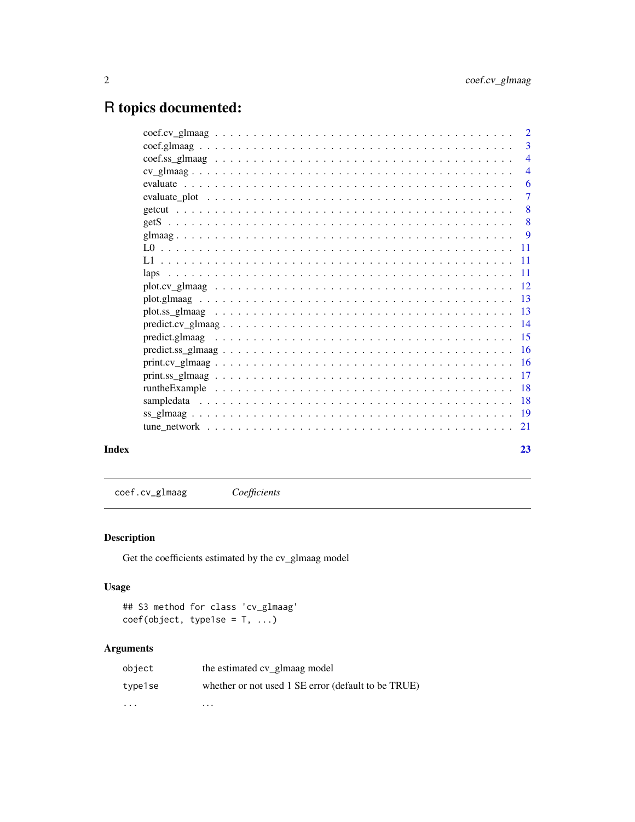# <span id="page-1-0"></span>R topics documented:

|                                                                                                                                                                  | 3              |
|------------------------------------------------------------------------------------------------------------------------------------------------------------------|----------------|
|                                                                                                                                                                  | $\overline{4}$ |
|                                                                                                                                                                  | $\overline{4}$ |
|                                                                                                                                                                  | 6              |
|                                                                                                                                                                  | 7              |
|                                                                                                                                                                  | 8              |
|                                                                                                                                                                  | 8              |
|                                                                                                                                                                  | - 9            |
|                                                                                                                                                                  |                |
|                                                                                                                                                                  |                |
|                                                                                                                                                                  |                |
|                                                                                                                                                                  |                |
|                                                                                                                                                                  |                |
|                                                                                                                                                                  |                |
| $predict.cv_glmaag 14$                                                                                                                                           |                |
|                                                                                                                                                                  |                |
|                                                                                                                                                                  |                |
|                                                                                                                                                                  |                |
|                                                                                                                                                                  |                |
|                                                                                                                                                                  |                |
|                                                                                                                                                                  |                |
|                                                                                                                                                                  |                |
| tune network $\ldots$ , $\ldots$ , $\ldots$ , $\ldots$ , $\ldots$ , $\ldots$ , $\ldots$ , $\ldots$ , $\ldots$ , $\ldots$ , $\ldots$ , $\ldots$ , $\frac{21}{21}$ |                |
|                                                                                                                                                                  |                |
|                                                                                                                                                                  |                |

#### **Index** [23](#page-22-0)

coef.cv\_glmaag *Coefficients*

#### Description

Get the coefficients estimated by the cv\_glmaag model

#### Usage

## S3 method for class 'cv\_glmaag'  $\csc(f(\text{object}, \text{type1se} = T, \ldots))$ 

| object  | the estimated cv_glmaag model                       |
|---------|-----------------------------------------------------|
| type1se | whether or not used 1 SE error (default to be TRUE) |
| .       | $\cdots$                                            |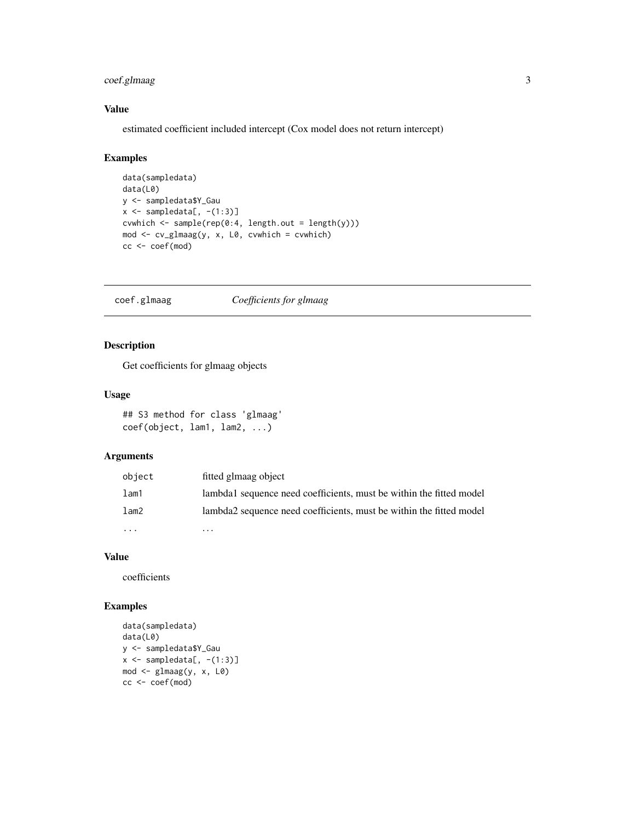#### <span id="page-2-0"></span>coef.glmaag 3

#### Value

estimated coefficient included intercept (Cox model does not return intercept)

#### Examples

```
data(sampledata)
data(L0)
y <- sampledata$Y_Gau
x \leftarrow sampledata[, -(1:3)]
cvwhich \leq sample(rep(0:4, length.out = length(y)))
mod \leq cv_glmaag(y, x, L0, cvwhich = cvwhich)
cc <- coef(mod)
```
coef.glmaag *Coefficients for glmaag*

#### Description

Get coefficients for glmaag objects

#### Usage

## S3 method for class 'glmaag' coef(object, lam1, lam2, ...)

#### Arguments

| object  | fitted glmaag object                                                |
|---------|---------------------------------------------------------------------|
| $l$ am1 | lambda1 sequence need coefficients, must be within the fitted model |
| lam2    | lambda2 sequence need coefficients, must be within the fitted model |
|         | .                                                                   |

#### Value

coefficients

```
data(sampledata)
data(L0)
y <- sampledata$Y_Gau
x \leftarrow sampledata[, -(1:3)]
mod \leq glmaag(y, x, L0)
cc <- coef(mod)
```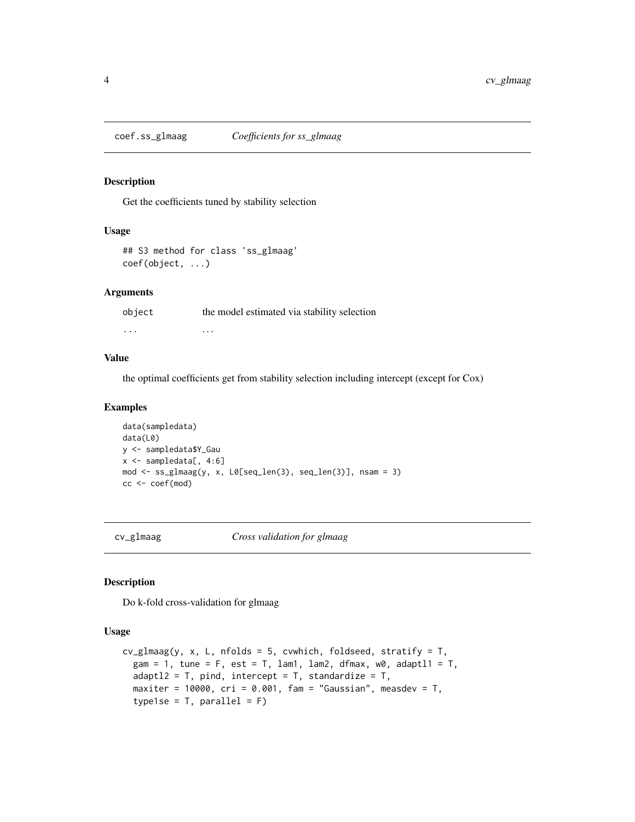<span id="page-3-0"></span>

Get the coefficients tuned by stability selection

#### Usage

```
## S3 method for class 'ss_glmaag'
coef(object, ...)
```
#### Arguments

object the model estimated via stability selection ... . . .

#### Value

the optimal coefficients get from stability selection including intercept (except for Cox)

#### Examples

```
data(sampledata)
data(L0)
y <- sampledata$Y_Gau
x <- sampledata[, 4:6]
mod <- ss_glmaag(y, x, L0[seq_len(3), seq_len(3)], nsam = 3)
cc <- coef(mod)
```
cv\_glmaag *Cross validation for glmaag*

#### Description

Do k-fold cross-validation for glmaag

#### Usage

```
cv_g1maag(y, x, L, nfolds = 5, cvwhich, foldseed, stratify = T,
  gam = 1, tune = F, est = T, lam1, lam2, dfmax, w0, adaptl1 = T,
  adapt12 = T, pind, intercept = T, standardize = T,
 maxiter = 10000, cri = 0.001, fam = "Gaussian", measdev = T,
  type1se = T, parallel = F)
```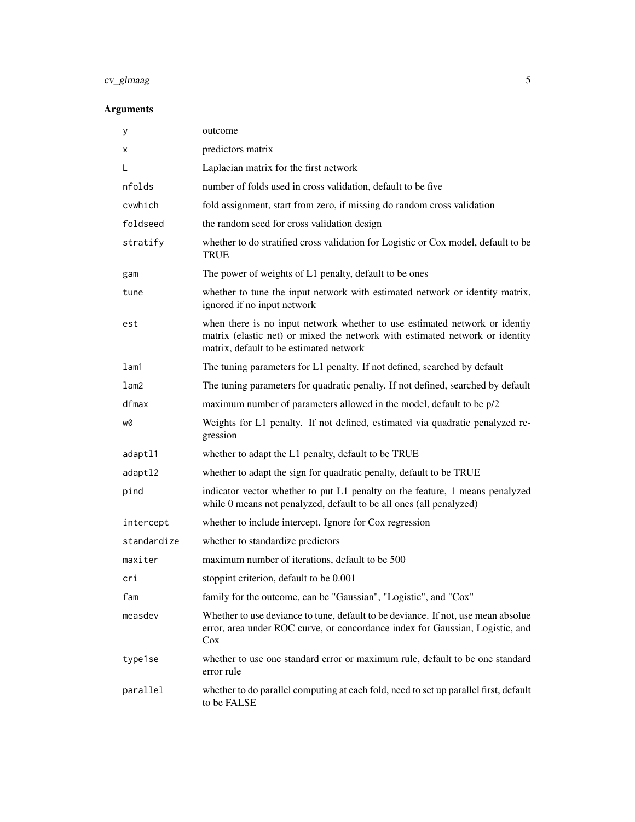## cv\_glmaag 5

| у           | outcome                                                                                                                                                                                               |
|-------------|-------------------------------------------------------------------------------------------------------------------------------------------------------------------------------------------------------|
| х           | predictors matrix                                                                                                                                                                                     |
| L           | Laplacian matrix for the first network                                                                                                                                                                |
| nfolds      | number of folds used in cross validation, default to be five                                                                                                                                          |
| cvwhich     | fold assignment, start from zero, if missing do random cross validation                                                                                                                               |
| foldseed    | the random seed for cross validation design                                                                                                                                                           |
| stratify    | whether to do stratified cross validation for Logistic or Cox model, default to be<br><b>TRUE</b>                                                                                                     |
| gam         | The power of weights of L1 penalty, default to be ones                                                                                                                                                |
| tune        | whether to tune the input network with estimated network or identity matrix,<br>ignored if no input network                                                                                           |
| est         | when there is no input network whether to use estimated network or identiy<br>matrix (elastic net) or mixed the network with estimated network or identity<br>matrix, default to be estimated network |
| lam1        | The tuning parameters for L1 penalty. If not defined, searched by default                                                                                                                             |
| lam2        | The tuning parameters for quadratic penalty. If not defined, searched by default                                                                                                                      |
| dfmax       | maximum number of parameters allowed in the model, default to be p/2                                                                                                                                  |
| w0          | Weights for L1 penalty. If not defined, estimated via quadratic penalyzed re-<br>gression                                                                                                             |
| adaptl1     | whether to adapt the L1 penalty, default to be TRUE                                                                                                                                                   |
| adaptl2     | whether to adapt the sign for quadratic penalty, default to be TRUE                                                                                                                                   |
| pind        | indicator vector whether to put L1 penalty on the feature, 1 means penalyzed<br>while 0 means not penalyzed, default to be all ones (all penalyzed)                                                   |
| intercept   | whether to include intercept. Ignore for Cox regression                                                                                                                                               |
| standardize | whether to standardize predictors                                                                                                                                                                     |
| maxiter     | maximum number of iterations, default to be 500                                                                                                                                                       |
| cri         | stoppint criterion, default to be 0.001                                                                                                                                                               |
| fam         | family for the outcome, can be "Gaussian", "Logistic", and "Cox"                                                                                                                                      |
| measdev     | Whether to use deviance to tune, default to be deviance. If not, use mean absolue<br>error, area under ROC curve, or concordance index for Gaussian, Logistic, and<br>Cox                             |
| type1se     | whether to use one standard error or maximum rule, default to be one standard<br>error rule                                                                                                           |
| parallel    | whether to do parallel computing at each fold, need to set up parallel first, default<br>to be FALSE                                                                                                  |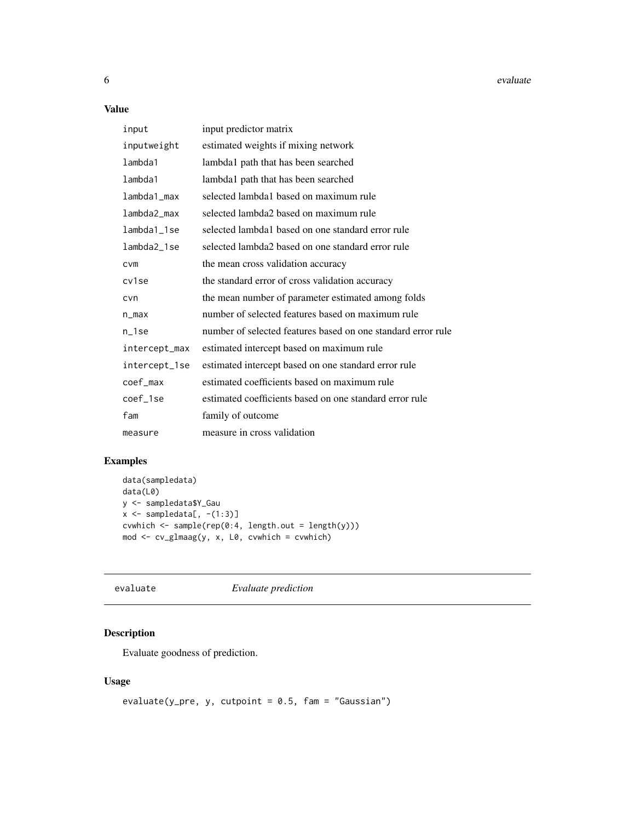<span id="page-5-0"></span>6 evaluate experience of the contract of the contract of the contract of the contract of the contract of the contract of the contract of the contract of the contract of the contract of the contract of the contract of the c

#### Value

| input         | input predictor matrix                                       |
|---------------|--------------------------------------------------------------|
| inputweight   | estimated weights if mixing network                          |
| lambda1       | lambda1 path that has been searched                          |
| lambda1       | lambda1 path that has been searched                          |
| lambda1_max   | selected lambda1 based on maximum rule                       |
| lambda2_max   | selected lambda2 based on maximum rule                       |
| lambda1_1se   | selected lambda1 based on one standard error rule            |
| lambda2_1se   | selected lambda2 based on one standard error rule            |
| <b>CVM</b>    | the mean cross validation accuracy                           |
| cv1se         | the standard error of cross validation accuracy              |
| cvn           | the mean number of parameter estimated among folds           |
| $n_{max}$     | number of selected features based on maximum rule            |
| n_1se         | number of selected features based on one standard error rule |
| intercept_max | estimated intercept based on maximum rule                    |
| intercept_1se | estimated intercept based on one standard error rule         |
| coef_max      | estimated coefficients based on maximum rule                 |
| coef_1se      | estimated coefficients based on one standard error rule      |
| fam           | family of outcome                                            |
| measure       | measure in cross validation                                  |

#### Examples

```
data(sampledata)
data(L0)
y <- sampledata$Y_Gau
x \leftarrow sampledata[, -(1:3)]
cvwhich <- sample(rep(0:4, length.out = length(y)))
mod <- cv_glmaag(y, x, L0, cvwhich = cvwhich)
```
evaluate *Evaluate prediction*

#### Description

Evaluate goodness of prediction.

#### Usage

```
evaluate(y\_pre, y, cutpoint = 0.5, fam = "Gaussian")
```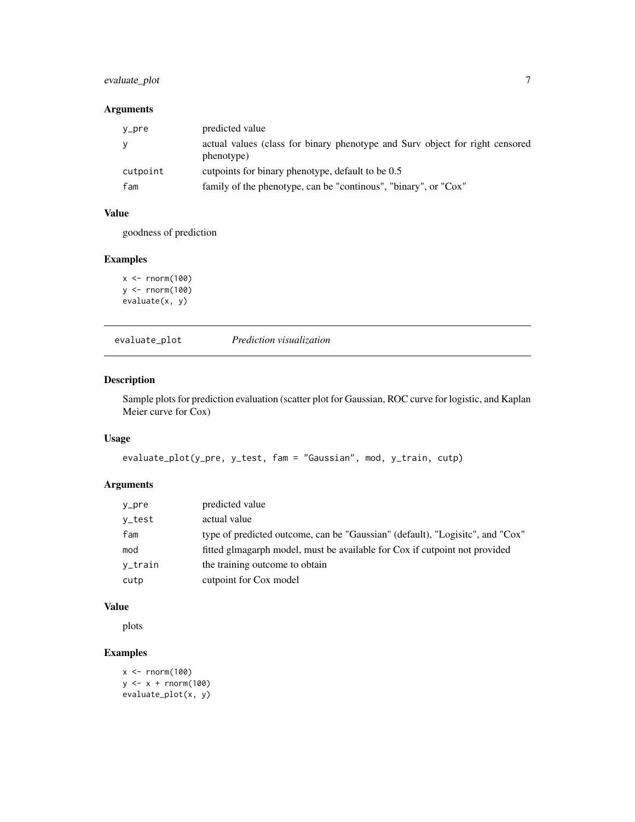#### <span id="page-6-0"></span>evaluate\_plot 7

#### Arguments

| y_pre    | predicted value                                                                            |
|----------|--------------------------------------------------------------------------------------------|
|          | actual values (class for binary phenotype and Surv object for right censored<br>phenotype) |
| cutpoint | cutpoints for binary phenotype, default to be 0.5                                          |
| fam      | family of the phenotype, can be "continous", "binary", or "Cox"                            |

#### Value

goodness of prediction

#### Examples

```
x < - rnorm(100)
y <- rnorm(100)
evaluate(x, y)
```
evaluate\_plot *Prediction visualization*

#### Description

Sample plots for prediction evaluation (scatter plot for Gaussian, ROC curve for logistic, and Kaplan Meier curve for Cox)

#### Usage

```
evaluate_plot(y_pre, y_test, fam = "Gaussian", mod, y_train, cutp)
```
#### Arguments

| y_pre   | predicted value                                                               |
|---------|-------------------------------------------------------------------------------|
| y_test  | actual value                                                                  |
| fam     | type of predicted outcome, can be "Gaussian" (default), "Logisitc", and "Cox" |
| mod     | fitted glmagarph model, must be available for Cox if cutpoint not provided    |
| v_train | the training outcome to obtain                                                |
| cutp    | cutpoint for Cox model                                                        |

#### Value

plots

```
x <- rnorm(100)
y <- x + rnorm(100)
evaluate_plot(x, y)
```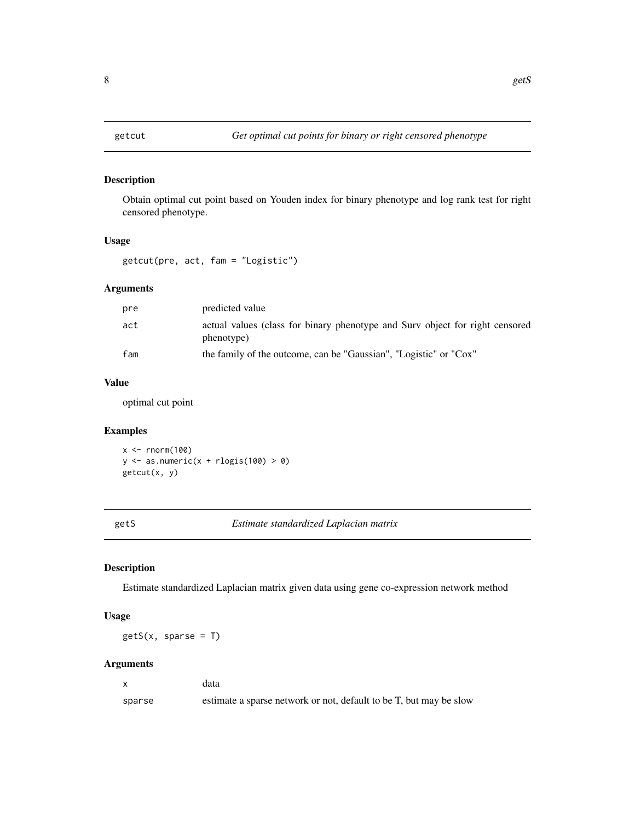<span id="page-7-0"></span>Obtain optimal cut point based on Youden index for binary phenotype and log rank test for right censored phenotype.

#### Usage

getcut(pre, act, fam = "Logistic")

#### Arguments

| pre | predicted value                                                                            |
|-----|--------------------------------------------------------------------------------------------|
| act | actual values (class for binary phenotype and Surv object for right censored<br>phenotype) |
| fam | the family of the outcome, can be "Gaussian", "Logistic" or "Cox"                          |

#### Value

optimal cut point

#### Examples

 $x < -$  rnorm(100)  $y \leftarrow$  as.numeric(x + rlogis(100) > 0) getcut(x, y)

getS *Estimate standardized Laplacian matrix*

#### Description

Estimate standardized Laplacian matrix given data using gene co-expression network method

#### Usage

 $gets(x, sparse = T)$ 

|        | data                                                               |
|--------|--------------------------------------------------------------------|
| sparse | estimate a sparse network or not, default to be T, but may be slow |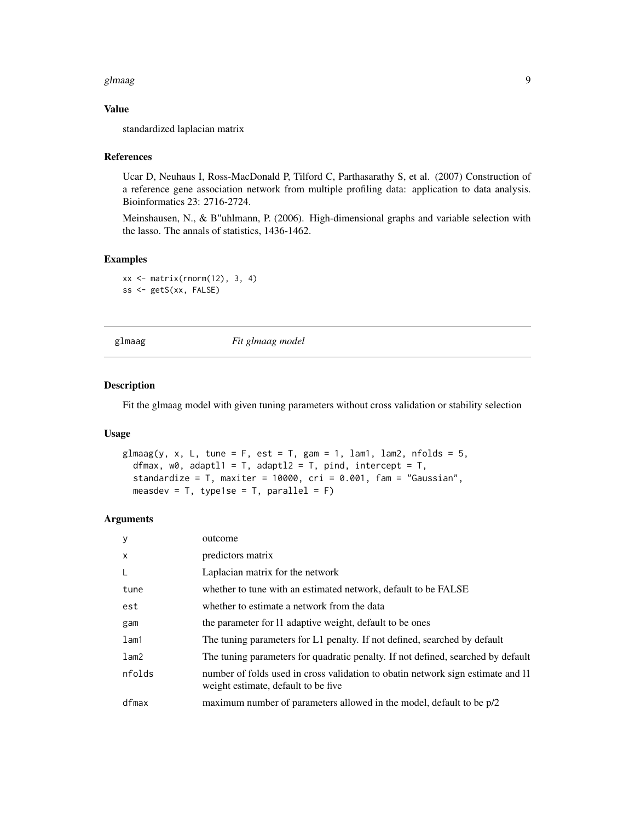#### <span id="page-8-0"></span>glmaag is also been also been also been also been also been also been also been also been also been also been a

#### Value

standardized laplacian matrix

#### References

Ucar D, Neuhaus I, Ross-MacDonald P, Tilford C, Parthasarathy S, et al. (2007) Construction of a reference gene association network from multiple profiling data: application to data analysis. Bioinformatics 23: 2716-2724.

Meinshausen, N., & B"uhlmann, P. (2006). High-dimensional graphs and variable selection with the lasso. The annals of statistics, 1436-1462.

#### Examples

xx <- matrix(rnorm(12), 3, 4) ss <- getS(xx, FALSE)

glmaag *Fit glmaag model*

#### Description

Fit the glmaag model with given tuning parameters without cross validation or stability selection

#### Usage

```
glmaag(y, x, L, tune = F, est = T, gam = 1, lam1, lam2, n folds = 5,dfmax, w0, adaptl1 = T, adaptl2 = T, pind, intercept = T,
  standardize = T, maxiter = 10000, cri = 0.001, fam = "Gaussian",measdev = T, type1se = T, parallel = F)
```

| y            | outcome                                                                                                                |
|--------------|------------------------------------------------------------------------------------------------------------------------|
| $\mathsf{x}$ | predictors matrix                                                                                                      |
| L            | Laplacian matrix for the network                                                                                       |
| tune         | whether to tune with an estimated network, default to be FALSE                                                         |
| est          | whether to estimate a network from the data                                                                            |
| gam          | the parameter for 11 adaptive weight, default to be ones                                                               |
| lam1         | The tuning parameters for L1 penalty. If not defined, searched by default                                              |
| lam2         | The tuning parameters for quadratic penalty. If not defined, searched by default                                       |
| nfolds       | number of folds used in cross validation to obatin network sign estimate and 11<br>weight estimate, default to be five |
| dfmax        | maximum number of parameters allowed in the model, default to be p/2                                                   |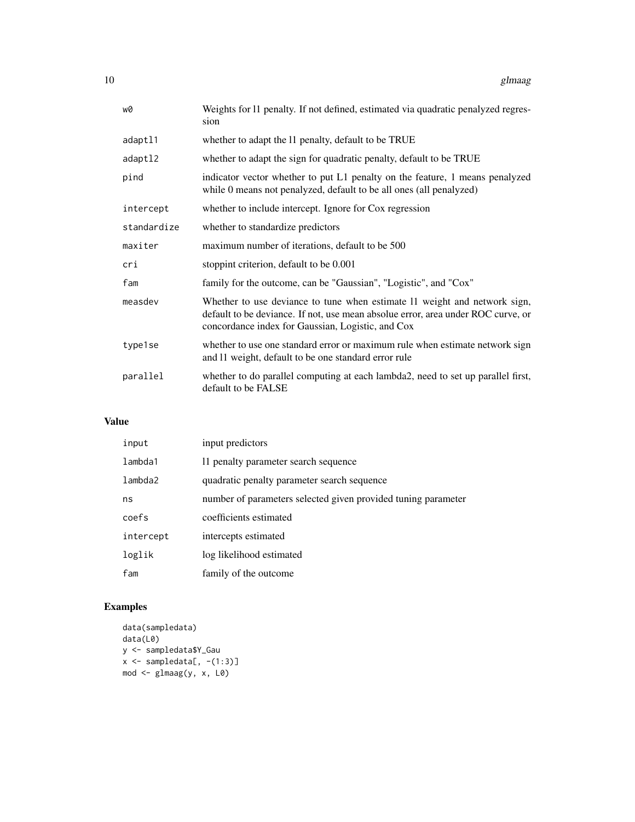| w0          | Weights for 11 penalty. If not defined, estimated via quadratic penalyzed regres-<br>sion                                                                                                                          |
|-------------|--------------------------------------------------------------------------------------------------------------------------------------------------------------------------------------------------------------------|
| adaptl1     | whether to adapt the 11 penalty, default to be TRUE                                                                                                                                                                |
| adaptl2     | whether to adapt the sign for quadratic penalty, default to be TRUE                                                                                                                                                |
| pind        | indicator vector whether to put L1 penalty on the feature, 1 means penalyzed<br>while 0 means not penalyzed, default to be all ones (all penalyzed)                                                                |
| intercept   | whether to include intercept. Ignore for Cox regression                                                                                                                                                            |
| standardize | whether to standardize predictors                                                                                                                                                                                  |
| maxiter     | maximum number of iterations, default to be 500                                                                                                                                                                    |
| cri         | stoppint criterion, default to be 0.001                                                                                                                                                                            |
| fam         | family for the outcome, can be "Gaussian", "Logistic", and "Cox"                                                                                                                                                   |
| measdev     | Whether to use deviance to tune when estimate 11 weight and network sign,<br>default to be deviance. If not, use mean absolue error, area under ROC curve, or<br>concordance index for Gaussian, Logistic, and Cox |
| type1se     | whether to use one standard error or maximum rule when estimate network sign<br>and 11 weight, default to be one standard error rule                                                                               |
| parallel    | whether to do parallel computing at each lambda2, need to set up parallel first,<br>default to be FALSE                                                                                                            |

#### Value

| input     | input predictors                                              |
|-----------|---------------------------------------------------------------|
| lambda1   | 11 penalty parameter search sequence                          |
| lambda2   | quadratic penalty parameter search sequence                   |
| ns        | number of parameters selected given provided tuning parameter |
| coefs     | coefficients estimated                                        |
| intercept | intercepts estimated                                          |
| loglik    | log likelihood estimated                                      |
| fam       | family of the outcome                                         |

```
data(sampledata)
data(L0)
y <- sampledata$Y_Gau
x \leq - sampledata[, -(1:3)]
mod <- glmaag(y, x, L0)
```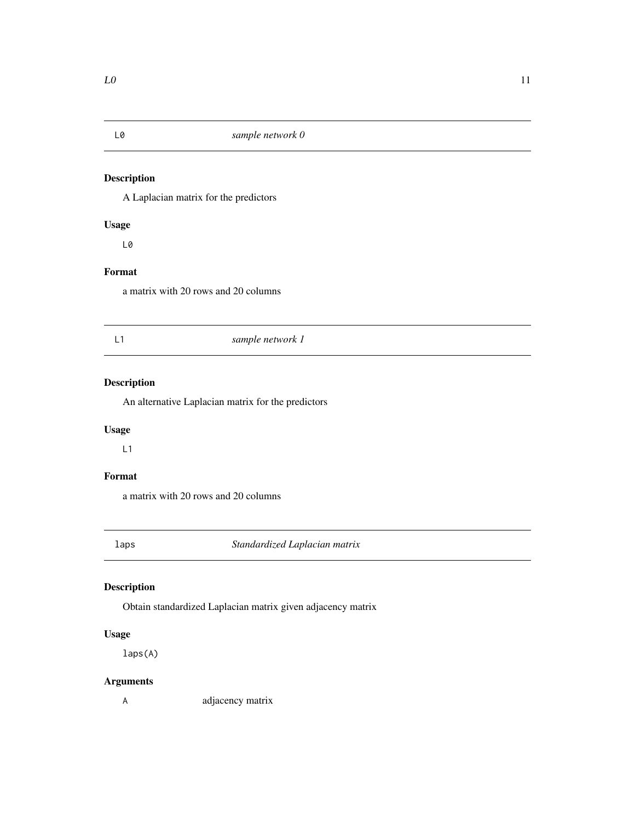<span id="page-10-0"></span>

A Laplacian matrix for the predictors

#### Usage

L0

#### Format

a matrix with 20 rows and 20 columns

### L1 *sample network 1*

#### Description

An alternative Laplacian matrix for the predictors

#### Usage

L1

#### Format

a matrix with 20 rows and 20 columns

laps *Standardized Laplacian matrix*

#### Description

Obtain standardized Laplacian matrix given adjacency matrix

#### Usage

laps(A)

#### Arguments

A adjacency matrix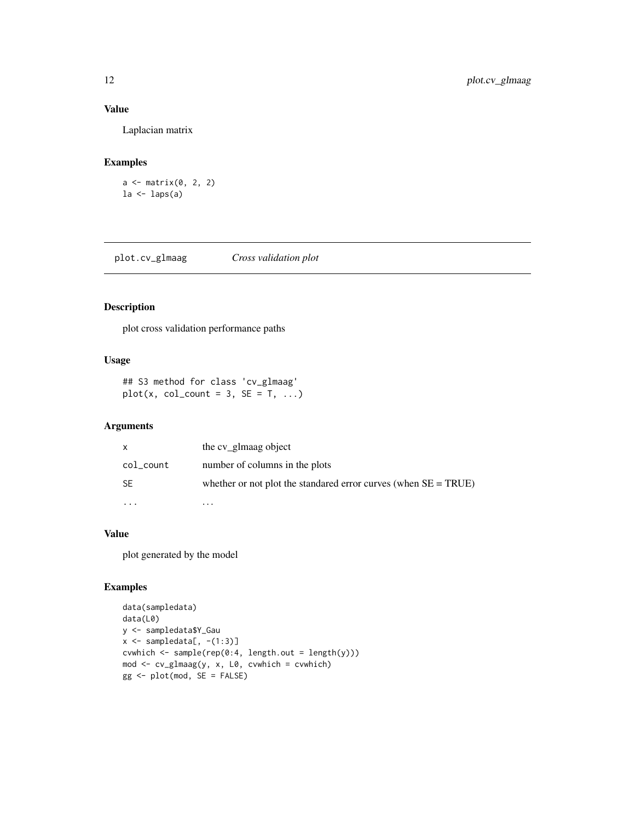#### Value

Laplacian matrix

#### Examples

```
a \leftarrow matrix(0, 2, 2)la <- laps(a)
```
plot.cv\_glmaag *Cross validation plot*

#### Description

plot cross validation performance paths

#### Usage

```
## S3 method for class 'cv_glmaag'
plot(x, col_count = 3, SE = T, ...)
```
#### Arguments

| x         | the cv_glmaag object                                               |
|-----------|--------------------------------------------------------------------|
| col_count | number of columns in the plots                                     |
| <b>SE</b> | whether or not plot the standared error curves (when $SE = TRUE$ ) |
|           | .                                                                  |

#### Value

plot generated by the model

```
data(sampledata)
data(L0)
y <- sampledata$Y_Gau
x \leftarrow sampledata[, -(1:3)]
cvwhich <- sample(rep(0:4, length.out = length(y)))
mod <- cv_glmaag(y, x, L0, cvwhich = cvwhich)
gg <- plot(mod, SE = FALSE)
```
<span id="page-11-0"></span>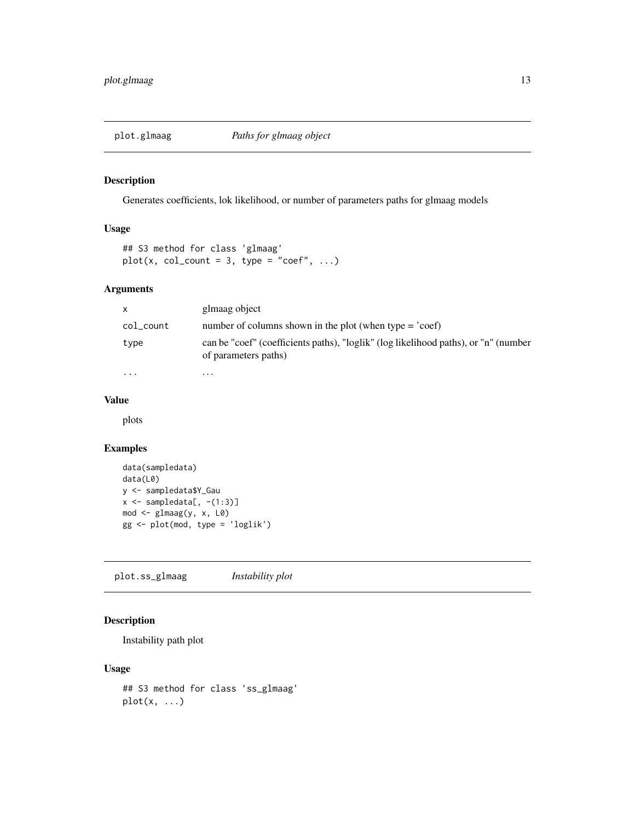<span id="page-12-0"></span>

Generates coefficients, lok likelihood, or number of parameters paths for glmaag models

#### Usage

```
## S3 method for class 'glmaag'
plot(x, col_count = 3, type = "coef", ...)
```
#### Arguments

| x.        | glmaag object                                                                                               |
|-----------|-------------------------------------------------------------------------------------------------------------|
| col_count | number of columns shown in the plot (when type $=$ 'coef)                                                   |
| type      | can be "coef" (coefficients paths), "loglik" (log likelihood paths), or "n" (number<br>of parameters paths) |
| $\cdots$  | $\cdots$                                                                                                    |

#### Value

plots

#### Examples

```
data(sampledata)
data(L0)
y <- sampledata$Y_Gau
x \leftarrow sampledata[, -(1:3)]
mod <- glmaag(y, x, L0)
gg <- plot(mod, type = 'loglik')
```
plot.ss\_glmaag *Instability plot*

#### Description

Instability path plot

#### Usage

```
## S3 method for class 'ss_glmaag'
plot(x, ...)
```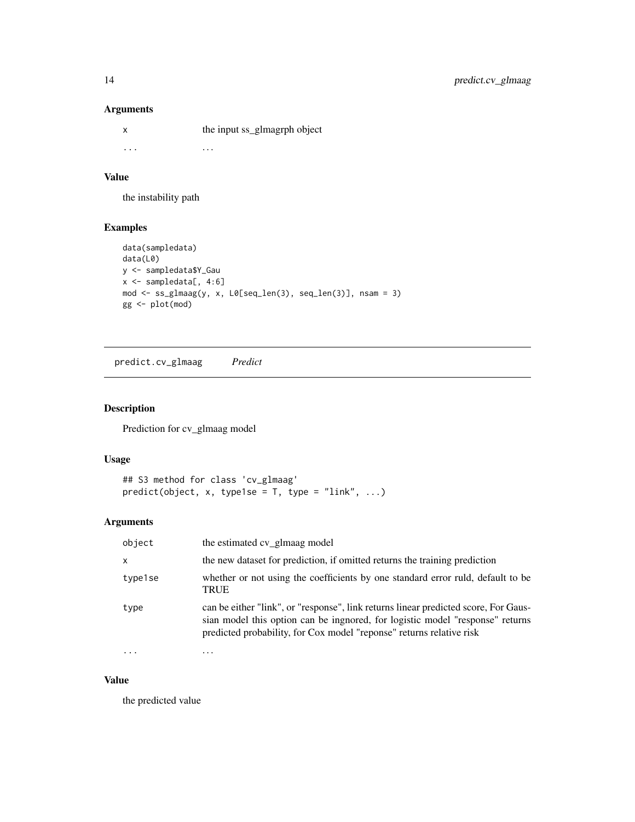#### Arguments

x the input ss\_glmagrph object ... . . .

#### Value

the instability path

#### Examples

```
data(sampledata)
data(L0)
y <- sampledata$Y_Gau
x <- sampledata[, 4:6]
mod <- ss_glmaag(y, x, L0[seq_len(3), seq_len(3)], nsam = 3)
gg <- plot(mod)
```
predict.cv\_glmaag *Predict*

#### Description

Prediction for cv\_glmaag model

#### Usage

```
## S3 method for class 'cv_glmaag'
predict(object, x, type1se = T, type = "link", ...)
```
#### Arguments

| object   | the estimated cv_glmaag model                                                                                                                                                                                                                |
|----------|----------------------------------------------------------------------------------------------------------------------------------------------------------------------------------------------------------------------------------------------|
| $\times$ | the new dataset for prediction, if omitted returns the training prediction                                                                                                                                                                   |
| type1se  | whether or not using the coefficients by one standard error ruld, default to be<br>TRUE                                                                                                                                                      |
| type     | can be either "link", or "response", link returns linear predicted score, For Gaus-<br>sian model this option can be ingnored, for logistic model "response" returns<br>predicted probability, for Cox model "reponse" returns relative risk |
|          | .                                                                                                                                                                                                                                            |

#### Value

the predicted value

<span id="page-13-0"></span>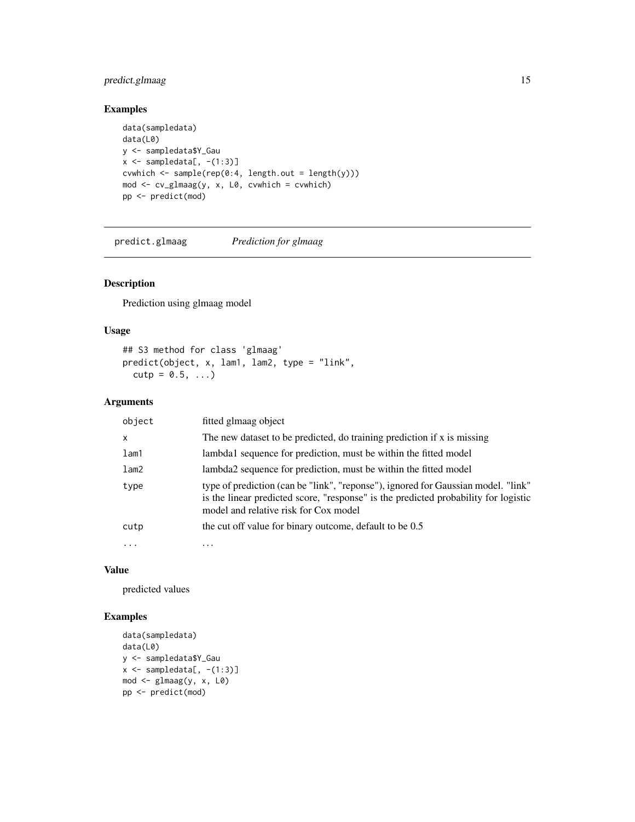#### <span id="page-14-0"></span>predict.glmaag 15

#### Examples

```
data(sampledata)
data(L0)
y <- sampledata$Y_Gau
x \leftarrow sampledata[, -(1:3)]
cvwhich \leq sample(rep(0:4, length.out = length(y)))
mod <- cv_glmaag(y, x, L0, cvwhich = cvwhich)
pp <- predict(mod)
```
predict.glmaag *Prediction for glmaag*

#### Description

Prediction using glmaag model

#### Usage

```
## S3 method for class 'glmaag'
predict(object, x, lam1, lam2, type = "link",
 cutp = 0.5, ...
```
#### Arguments

| object  | fitted glmaag object                                                                                                                                                                                              |
|---------|-------------------------------------------------------------------------------------------------------------------------------------------------------------------------------------------------------------------|
| X       | The new dataset to be predicted, do training prediction if x is missing                                                                                                                                           |
| $l$ am1 | lambda1 sequence for prediction, must be within the fitted model                                                                                                                                                  |
| lam2    | lambda2 sequence for prediction, must be within the fitted model                                                                                                                                                  |
| type    | type of prediction (can be "link", "reponse"), ignored for Gaussian model. "link"<br>is the linear predicted score, "response" is the predicted probability for logistic<br>model and relative risk for Cox model |
| cutp    | the cut off value for binary outcome, default to be 0.5                                                                                                                                                           |
|         | .                                                                                                                                                                                                                 |

#### Value

predicted values

```
data(sampledata)
data(L0)
y <- sampledata$Y_Gau
x \leftarrow sampledata[, -(1:3)]
mod \leftarrow glmaag(y, x, L0)
pp <- predict(mod)
```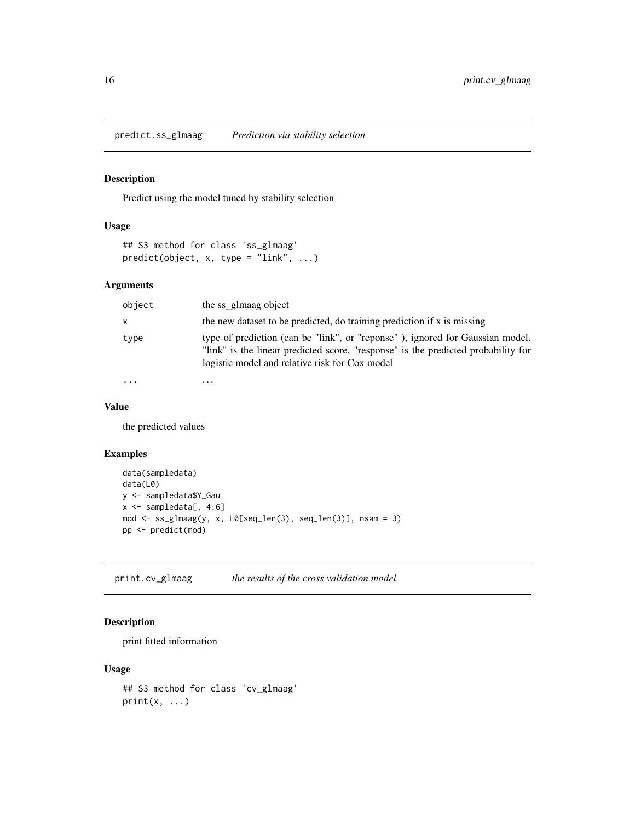<span id="page-15-0"></span>predict.ss\_glmaag *Prediction via stability selection*

#### Description

Predict using the model tuned by stability selection

#### Usage

```
## S3 method for class 'ss_glmaag'
predict(object, x, type = "link", ...)
```
#### Arguments

| object       | the ss glmaag object                                                                                                                                                                                                 |
|--------------|----------------------------------------------------------------------------------------------------------------------------------------------------------------------------------------------------------------------|
| $\mathsf{x}$ | the new dataset to be predicted, do training prediction if x is missing                                                                                                                                              |
| type         | type of prediction (can be "link", or "reponse"), ignored for Gaussian model.<br>"link" is the linear predicted score, "response" is the predicted probability for<br>logistic model and relative risk for Cox model |
|              | .                                                                                                                                                                                                                    |

#### Value

the predicted values

#### Examples

```
data(sampledata)
data(L0)
y <- sampledata$Y_Gau
x \leq - sampledata[, 4:6]
mod <- ss_glmaag(y, x, L0[seq_len(3), seq_len(3)], nsam = 3)
pp <- predict(mod)
```
print.cv\_glmaag *the results of the cross validation model*

#### Description

print fitted information

#### Usage

```
## S3 method for class 'cv_glmaag'
print(x, \ldots)
```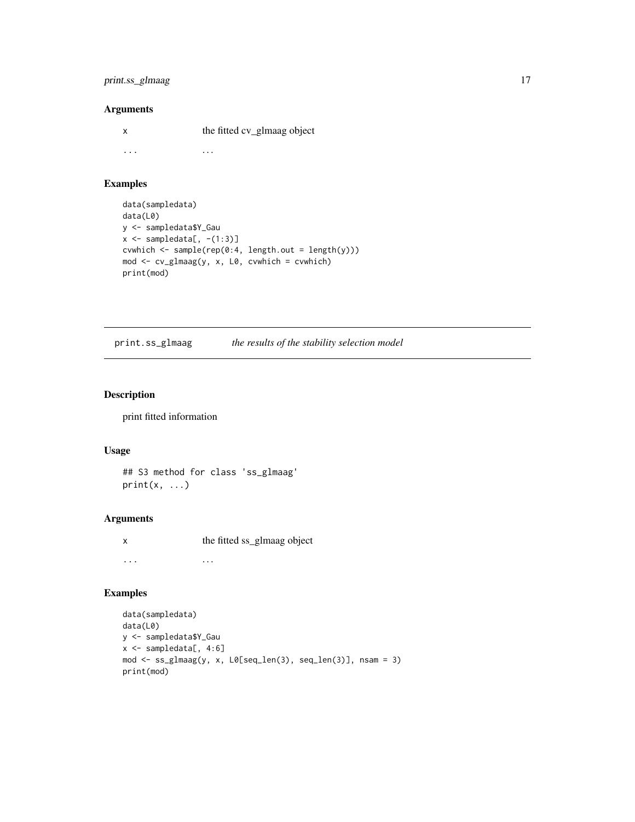#### <span id="page-16-0"></span>print.ss\_glmaag 17

#### Arguments

x the fitted cv\_glmaag object ... . . .

#### Examples

```
data(sampledata)
data(L0)
y <- sampledata$Y_Gau
x \leftarrow sampledata[, -(1:3)]
cvwhich <- sample(rep(0:4, length.out = length(y)))
mod <- cv_glmaag(y, x, L0, cvwhich = cvwhich)
print(mod)
```
print.ss\_glmaag *the results of the stability selection model*

#### Description

print fitted information

#### Usage

## S3 method for class 'ss\_glmaag'  $print(x, \ldots)$ 

#### Arguments

x the fitted ss\_glmaag object ... . . .

```
data(sampledata)
data(L0)
y <- sampledata$Y_Gau
x \leq - sampledata[, 4:6]
mod <- ss_glmaag(y, x, L0[seq_len(3), seq_len(3)], nsam = 3)
print(mod)
```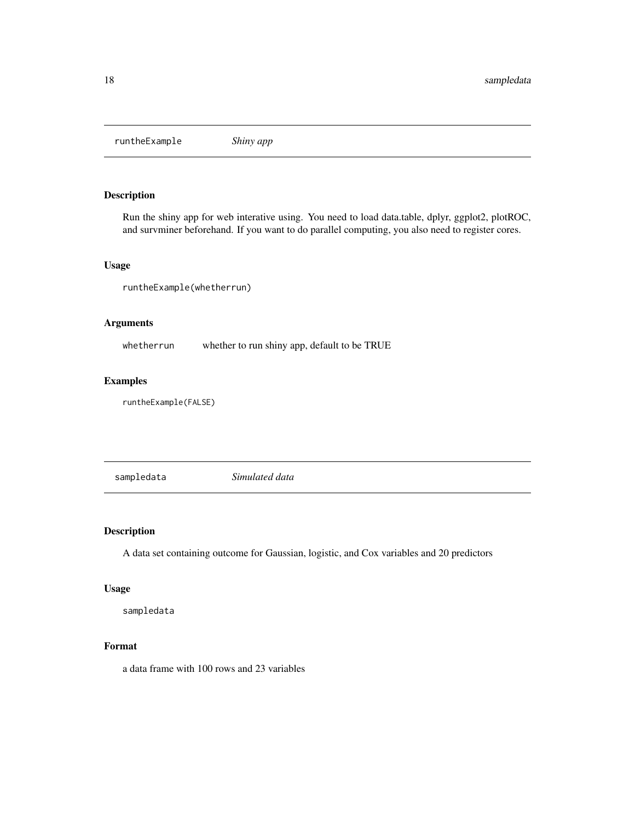<span id="page-17-0"></span>runtheExample *Shiny app*

#### Description

Run the shiny app for web interative using. You need to load data.table, dplyr, ggplot2, plotROC, and survminer beforehand. If you want to do parallel computing, you also need to register cores.

#### Usage

runtheExample(whetherrun)

#### Arguments

whetherrun whether to run shiny app, default to be TRUE

#### Examples

runtheExample(FALSE)

sampledata *Simulated data*

#### Description

A data set containing outcome for Gaussian, logistic, and Cox variables and 20 predictors

#### Usage

sampledata

#### Format

a data frame with 100 rows and 23 variables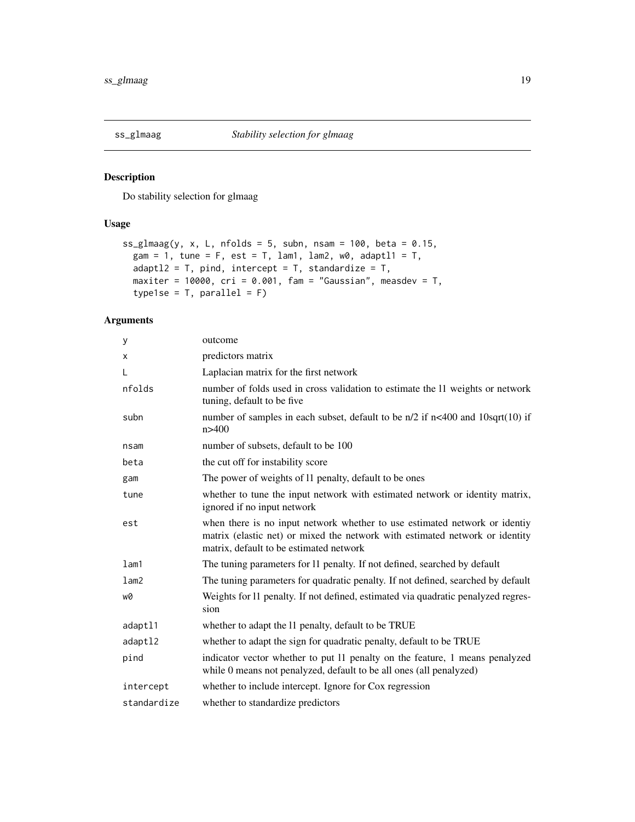<span id="page-18-0"></span>

Do stability selection for glmaag

#### Usage

```
ss_glmaag(y, x, L, nfolds = 5, subn, nsam = 100, beta = 0.15,
 gam = 1, tune = F, est = T, lam1, lam2, w0, adaptl1 = T,
 adapt12 = T, pind, intercept = T, standardize = T,
 maxiter = 10000, cri = 0.001, fam = "Gaussian", measdev = T,
 type1se = T, parallel = F)
```

| У           | outcome                                                                                                                                                                                               |
|-------------|-------------------------------------------------------------------------------------------------------------------------------------------------------------------------------------------------------|
| X           | predictors matrix                                                                                                                                                                                     |
| L           | Laplacian matrix for the first network                                                                                                                                                                |
| nfolds      | number of folds used in cross validation to estimate the 11 weights or network<br>tuning, default to be five                                                                                          |
| subn        | number of samples in each subset, default to be $n/2$ if $n<$ 400 and $10$ sqrt $(10)$ if<br>n > 400                                                                                                  |
| nsam        | number of subsets, default to be 100                                                                                                                                                                  |
| beta        | the cut off for instability score                                                                                                                                                                     |
| gam         | The power of weights of 11 penalty, default to be ones                                                                                                                                                |
| tune        | whether to tune the input network with estimated network or identity matrix,<br>ignored if no input network                                                                                           |
| est         | when there is no input network whether to use estimated network or identiy<br>matrix (elastic net) or mixed the network with estimated network or identity<br>matrix, default to be estimated network |
| lam1        | The tuning parameters for 11 penalty. If not defined, searched by default                                                                                                                             |
| lam2        | The tuning parameters for quadratic penalty. If not defined, searched by default                                                                                                                      |
| wØ          | Weights for 11 penalty. If not defined, estimated via quadratic penalyzed regres-<br>sion                                                                                                             |
| adaptl1     | whether to adapt the 11 penalty, default to be TRUE                                                                                                                                                   |
| adapt12     | whether to adapt the sign for quadratic penalty, default to be TRUE                                                                                                                                   |
| pind        | indicator vector whether to put 11 penalty on the feature, 1 means penalyzed<br>while 0 means not penalyzed, default to be all ones (all penalyzed)                                                   |
| intercept   | whether to include intercept. Ignore for Cox regression                                                                                                                                               |
| standardize | whether to standardize predictors                                                                                                                                                                     |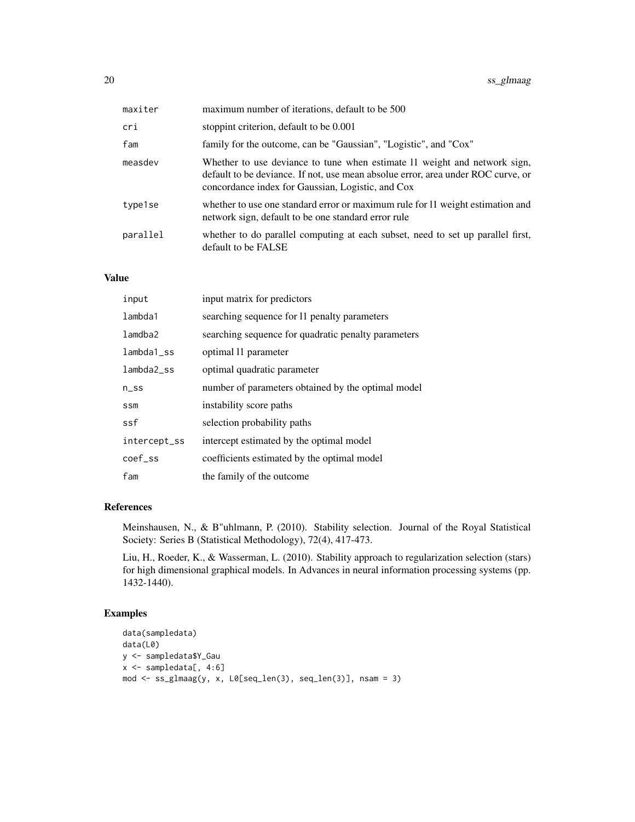| maxiter  | maximum number of iterations, default to be 500                                                                                                                                                                    |
|----------|--------------------------------------------------------------------------------------------------------------------------------------------------------------------------------------------------------------------|
| cri      | stoppint criterion, default to be 0.001                                                                                                                                                                            |
| fam      | family for the outcome, can be "Gaussian", "Logistic", and "Cox"                                                                                                                                                   |
| measdev  | Whether to use deviance to tune when estimate 11 weight and network sign,<br>default to be deviance. If not, use mean absolue error, area under ROC curve, or<br>concordance index for Gaussian, Logistic, and Cox |
| type1se  | whether to use one standard error or maximum rule for 11 weight estimation and<br>network sign, default to be one standard error rule                                                                              |
| parallel | whether to do parallel computing at each subset, need to set up parallel first,<br>default to be FALSE                                                                                                             |

#### Value

| input         | input matrix for predictors                         |
|---------------|-----------------------------------------------------|
| lambda1       | searching sequence for 11 penalty parameters        |
| lamdba2       | searching sequence for quadratic penalty parameters |
| $lambda_1$ ss | optimal 11 parameter                                |
| lambda2 ss    | optimal quadratic parameter                         |
| $n$ _ss       | number of parameters obtained by the optimal model  |
| <b>SSM</b>    | instability score paths                             |
| ssf           | selection probability paths                         |
| intercept_ss  | intercept estimated by the optimal model            |
| coef ss       | coefficients estimated by the optimal model         |
| fam           | the family of the outcome                           |

#### References

Meinshausen, N., & B"uhlmann, P. (2010). Stability selection. Journal of the Royal Statistical Society: Series B (Statistical Methodology), 72(4), 417-473.

Liu, H., Roeder, K., & Wasserman, L. (2010). Stability approach to regularization selection (stars) for high dimensional graphical models. In Advances in neural information processing systems (pp. 1432-1440).

```
data(sampledata)
data(L0)
y <- sampledata$Y_Gau
x <- sampledata[, 4:6]
mod <- ss_glmaag(y, x, L0[seq_len(3), seq_len(3)], nsam = 3)
```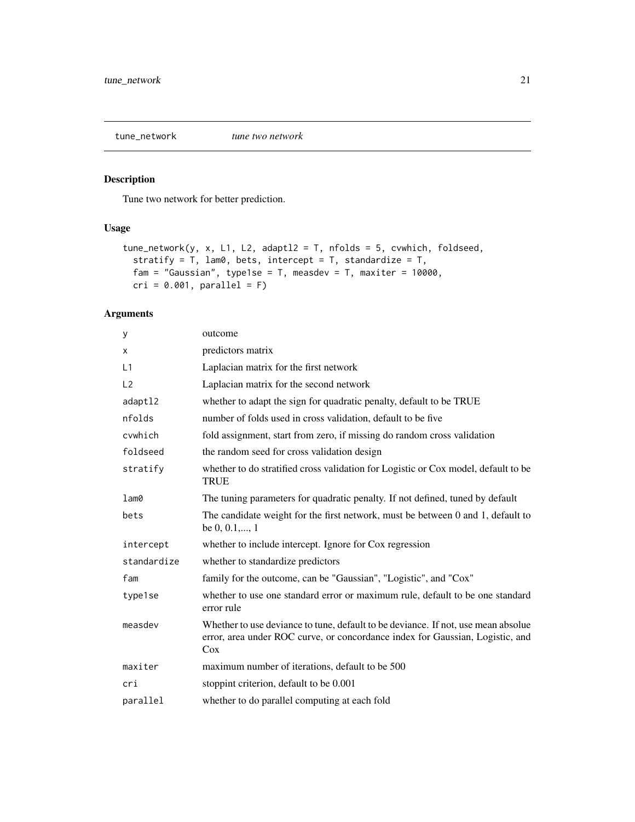<span id="page-20-0"></span>tune\_network *tune two network*

#### Description

Tune two network for better prediction.

#### Usage

```
tune_network(y, x, L1, L2, adaptl2 = T, nfolds = 5, cvwhich, foldseed,
 stratify = T, lam0, bets, intercept = T, standardize = T,
 fam = "Gaussian", type1se = T, measdev = T, maxiter = 10000,
 cri = 0.001, parallel = F)
```

| y              | outcome                                                                                                                                                                   |
|----------------|---------------------------------------------------------------------------------------------------------------------------------------------------------------------------|
| Χ              | predictors matrix                                                                                                                                                         |
| L1             | Laplacian matrix for the first network                                                                                                                                    |
| L <sub>2</sub> | Laplacian matrix for the second network                                                                                                                                   |
| adaptl2        | whether to adapt the sign for quadratic penalty, default to be TRUE                                                                                                       |
| nfolds         | number of folds used in cross validation, default to be five                                                                                                              |
| cvwhich        | fold assignment, start from zero, if missing do random cross validation                                                                                                   |
| foldseed       | the random seed for cross validation design                                                                                                                               |
| stratify       | whether to do stratified cross validation for Logistic or Cox model, default to be<br><b>TRUE</b>                                                                         |
| lam0           | The tuning parameters for quadratic penalty. If not defined, tuned by default                                                                                             |
| bets           | The candidate weight for the first network, must be between 0 and 1, default to<br>be $0, 0.1, \ldots, 1$                                                                 |
| intercept      | whether to include intercept. Ignore for Cox regression                                                                                                                   |
| standardize    | whether to standardize predictors                                                                                                                                         |
| fam            | family for the outcome, can be "Gaussian", "Logistic", and "Cox"                                                                                                          |
| type1se        | whether to use one standard error or maximum rule, default to be one standard<br>error rule                                                                               |
| measdev        | Whether to use deviance to tune, default to be deviance. If not, use mean absolue<br>error, area under ROC curve, or concordance index for Gaussian, Logistic, and<br>Cox |
| maxiter        | maximum number of iterations, default to be 500                                                                                                                           |
| cri            | stoppint criterion, default to be 0.001                                                                                                                                   |
| parallel       | whether to do parallel computing at each fold                                                                                                                             |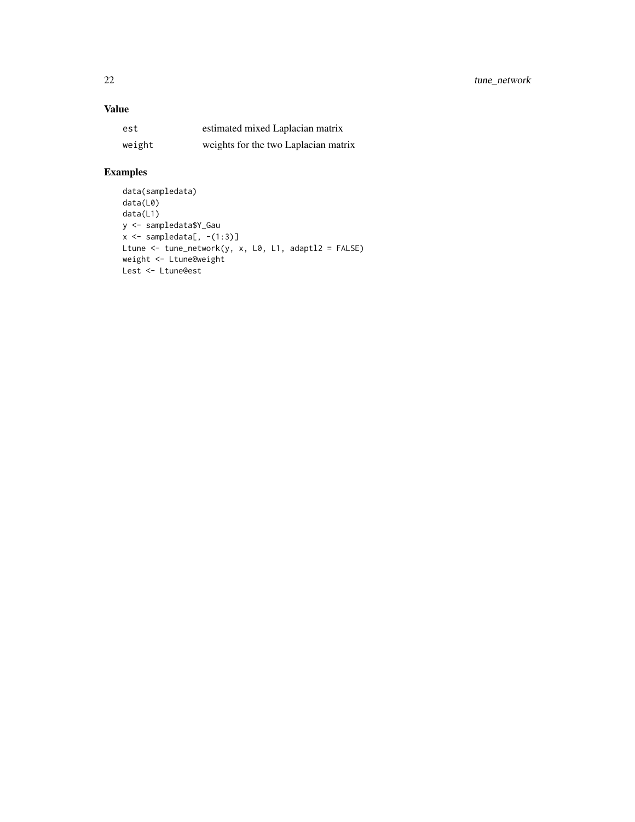#### Value

| est    | estimated mixed Laplacian matrix     |
|--------|--------------------------------------|
| weight | weights for the two Laplacian matrix |

```
data(sampledata)
data(L0)
data(L1)
y <- sampledata$Y_Gau
x \leftarrow sampledata[, -(1:3)]
Ltune <- tune_network(y, x, L0, L1, adaptl2 = FALSE)
weight <- Ltune@weight
Lest <- Ltune@est
```